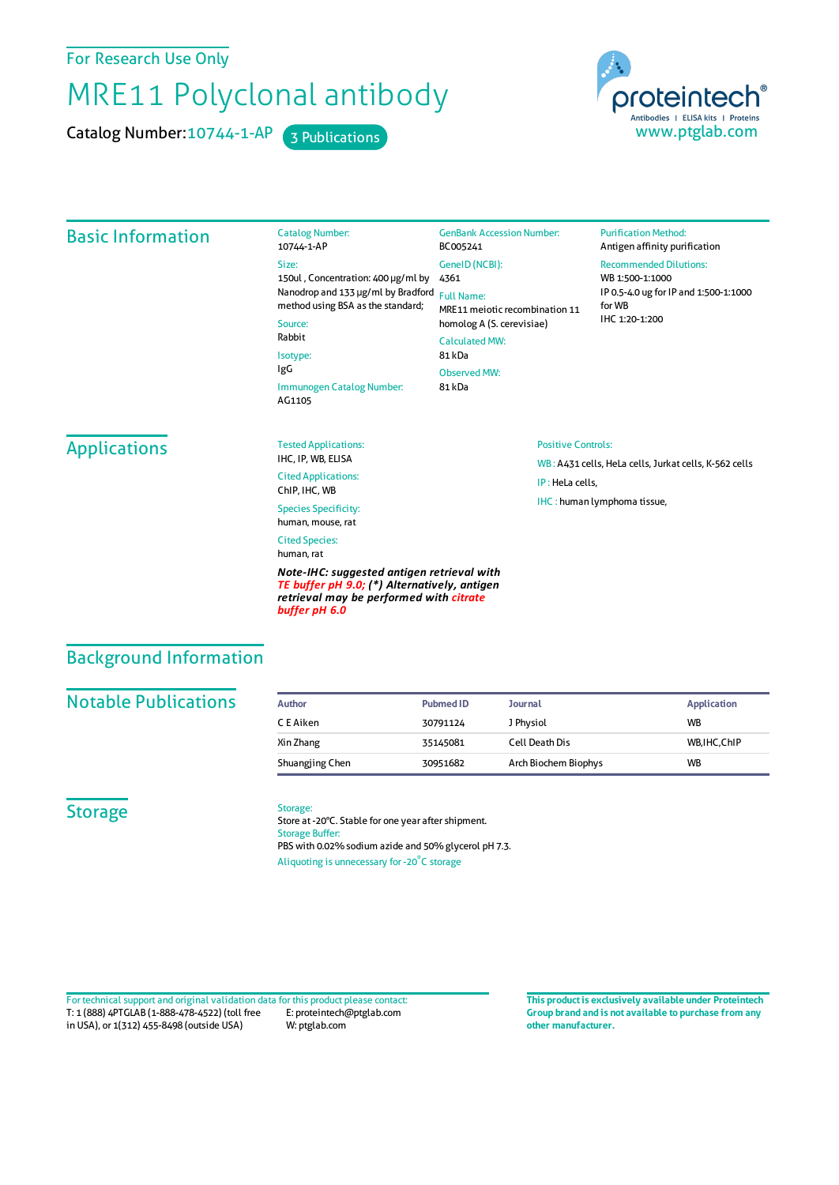For Research Use Only

# MRE11 Polyclonal antibody

Catalog Number: 10744-1-AP 3 Publications



#### Basic Information Catalog Number: 10744-1-AP Size: 150ul , Concentration: 400 μg/ml by 4361 Nanodrop and 133 μg/ml by Bradford Full Name: method using BSA as the standard; Source: Rabbit Isotype: IgG Immunogen Catalog Number: AG1105 GenBank Accession Number: BC005241 GeneID(NCBI): MRE11meiotic recombination 11 homolog A (S. cerevisiae) CalculatedMW: 81 kDa ObservedMW: 81 kDa **Purification Method:** Antigen affinity purification Recommended Dilutions: WB 1:500-1:1000 IP 0.5-4.0 ug forIP and 1:500-1:1000 forWB IHC 1:20-1:200 **Applications** Tested Applications: IHC, IP, WB, ELISA Cited Applications: ChIP, IHC, WB Species Specificity: human, mouse, rat Cited Species: human, rat *Note-IHC: suggested antigen retrieval with TE buffer pH 9.0; (\*) Alternatively, antigen retrieval may be performed with citrate* Positive Controls: WB : A431 cells, HeLa cells, Jurkat cells, K-562 cells IP : HeLa cells, IHC : human lymphoma tissue,

### Background Information

#### **Notable Publications**

| Author          | Pubmed ID | <b>Journal</b>       | <b>Application</b> |
|-----------------|-----------|----------------------|--------------------|
| C E Aiken       | 30791124  | J Physiol            | <b>WB</b>          |
| Xin Zhang       | 35145081  | Cell Death Dis       | WB.IHC.ChIP        |
| Shuangjing Chen | 30951682  | Arch Biochem Biophys | <b>WB</b>          |

#### **Storage**

#### Storage:

*buffer pH 6.0*

Store at -20°C. Stable for one year after shipment. Storage Buffer: PBS with 0.02% sodium azide and 50% glycerol pH 7.3. Aliquoting is unnecessary for -20<sup>°</sup>C storage

T: 1 (888) 4PTGLAB (1-888-478-4522) (toll free in USA), or 1(312) 455-8498 (outside USA) E: proteintech@ptglab.com W: ptglab.com Fortechnical support and original validation data forthis product please contact: **This productis exclusively available under Proteintech**

**Group brand and is not available to purchase from any other manufacturer.**